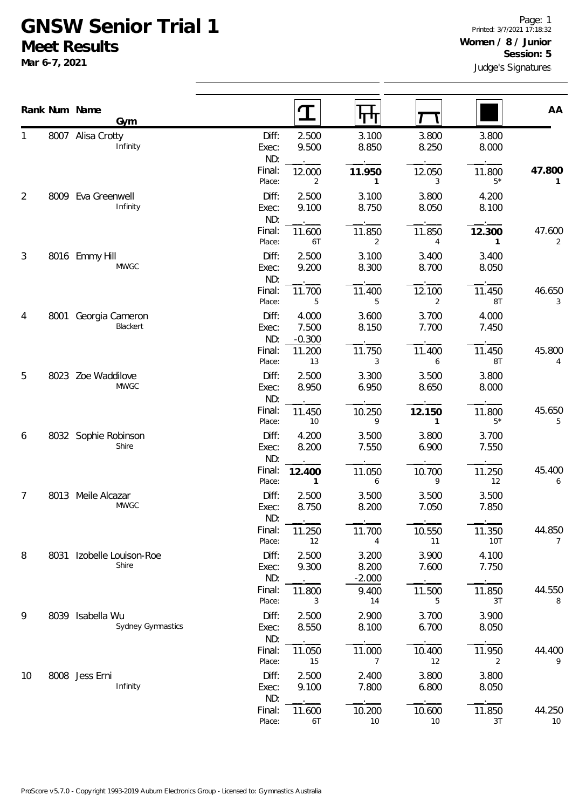## **GNSW Senior Trial 1 Meet Results**

**Mar 6-7, 2021**

|                |      | Rank Num Name<br>Gym               |                       |                            |                            |                |                          |                          |
|----------------|------|------------------------------------|-----------------------|----------------------------|----------------------------|----------------|--------------------------|--------------------------|
|                |      |                                    |                       | $\mathbf T$                |                            |                |                          | AA                       |
| 1              |      | 8007 Alisa Crotty<br>Infinity      | Diff:<br>Exec:<br>ND: | 2.500<br>9.500             | 3.100<br>8.850             | 3.800<br>8.250 | 3.800<br>8.000           |                          |
|                |      |                                    | Final:<br>Place:      | 12.000<br>2                | 11.950<br>$\mathbf{1}$     | 12.050<br>3    | 11.800<br>$5*$           | 47.800<br>1              |
| $\overline{2}$ | 8009 | Eva Greenwell<br>Infinity          | Diff:<br>Exec:<br>ND: | 2.500<br>9.100             | 3.100<br>8.750             | 3.800<br>8.050 | 4.200<br>8.100           |                          |
|                |      |                                    | Final:<br>Place:      | 11.600<br>6T               | 11.850<br>2                | 11.850<br>4    | 12.300<br>1              | 47.600<br>2              |
| $\mathfrak{Z}$ |      | 8016 Emmy Hill<br><b>MWGC</b>      | Diff:<br>Exec:<br>ND: | 2.500<br>9.200             | 3.100<br>8.300             | 3.400<br>8.700 | 3.400<br>8.050           |                          |
|                |      |                                    | Final:<br>Place:      | 11.700<br>5                | 11.400<br>5                | 12.100<br>2    | 11.450<br>8T             | 46.650<br>3              |
| 4              | 8001 | Georgia Cameron<br>Blackert        | Diff:<br>Exec:<br>ND: | 4.000<br>7.500<br>$-0.300$ | 3.600<br>8.150             | 3.700<br>7.700 | 4.000<br>7.450           |                          |
|                |      |                                    | Final:<br>Place:      | 11.200<br>13               | 11.750<br>3                | 11.400<br>6    | 11.450<br>8T             | 45.800<br>4              |
| 5              |      | 8023 Zoe Waddilove<br><b>MWGC</b>  | Diff:<br>Exec:<br>ND: | 2.500<br>8.950             | 3.300<br>6.950             | 3.500<br>8.650 | 3.800<br>8.000           |                          |
|                |      |                                    | Final:<br>Place:      | 11.450<br>10               | 10.250<br>9                | 12.150<br>1    | 11.800<br>$5*$           | 45.650<br>5              |
| 6              |      | 8032 Sophie Robinson<br>Shire      | Diff:<br>Exec:<br>ND: | 4.200<br>8.200             | 3.500<br>7.550             | 3.800<br>6.900 | 3.700<br>7.550           |                          |
|                |      |                                    | Final:<br>Place:      | 12.400<br>$\mathbf{1}$     | 11.050<br>6                | 10.700<br>9    | 11.250<br>12             | 45.400<br>6              |
| 7              |      | 8013 Meile Alcazar<br><b>MWGC</b>  | Diff:<br>Exec:<br>ND: | 2.500<br>8.750             | 3.500<br>8.200             | 3.500<br>7.050 | 3.500<br>7.850           |                          |
|                |      |                                    | Final:<br>Place:      | 11.250<br>12               | 11.700<br>4                | 10.550<br>11   | 11.350<br><b>10T</b>     | 44.850<br>$\overline{7}$ |
| 8              |      | 8031 Izobelle Louison-Roe<br>Shire | Diff:<br>Exec:<br>ND: | 2.500<br>9.300             | 3.200<br>8.200<br>$-2.000$ | 3.900<br>7.600 | 4.100<br>7.750           |                          |
|                |      |                                    | Final:<br>Place:      | 11.800<br>3                | 9.400<br>14                | 11.500<br>5    | 11.850<br>3T             | 44.550<br>8              |
| 9              | 8039 | Isabella Wu<br>Sydney Gymnastics   | Diff:<br>Exec:<br>ND: | 2.500<br>8.550             | 2.900<br>8.100             | 3.700<br>6.700 | 3.900<br>8.050           |                          |
|                |      |                                    | Final:<br>Place:      | 11.050<br>15               | 11.000<br>$\overline{7}$   | 10.400<br>12   | 11.950<br>$\overline{2}$ | 44.400<br>9              |
| 10             |      | 8008 Jess Erni<br>Infinity         | Diff:<br>Exec:<br>ND: | 2.500<br>9.100             | 2.400<br>7.800             | 3.800<br>6.800 | 3.800<br>8.050           |                          |
|                |      |                                    | Final:<br>Place:      | 11.600<br>6T               | 10.200<br>10               | 10.600<br>10   | 11.850<br>3T             | 44.250<br>10             |